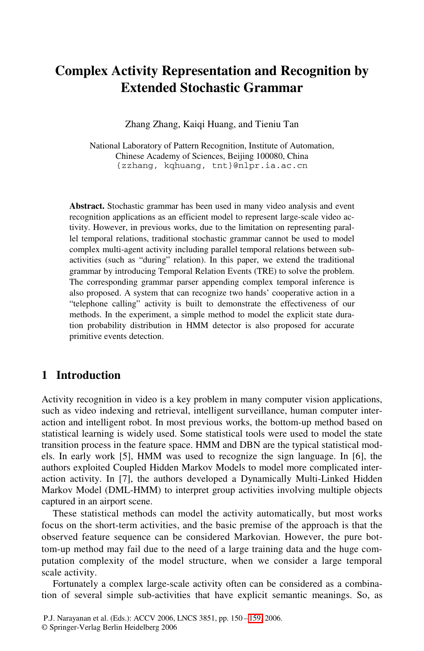# **Complex Activity Representation and Recognition by Extended Stochastic Grammar**

Zhang Zhang, Kaiqi Huang, and Tieniu Tan

National Laboratory of Pattern Recognition, Institute of Automation, Chinese Academy of Sciences, Beijing 100080, China {zzhang, kqhuang, tnt}@nlpr.ia.ac.cn

**Abstract.** Stochastic grammar has been used in many video analysis and event recognition applications as an efficient model to represent large-scale video activity. However, in previous works, due to the limitation on representing parallel temporal relations, traditional stochastic grammar cannot be used to model complex multi-agent activity including parallel temporal relations between subactivities (such as "during" relation). In this paper, we extend the traditional grammar by introducing Temporal Relation Events (TRE) to solve the problem. The corresponding grammar parser appending complex temporal inference is also proposed. A system that can recognize two hands' cooperative action in a "telephone calling" activity is built to demonstrate the effectiveness of our methods. In the experiment, a simple method to model the explicit state duration probability distribution in HMM detector is also proposed for accurate primitive events detection.

### **1 Introduction**

Activity recognition in video is a key problem in many computer vision applications, such as video indexing and retrieval, intelligent surveillance, human computer interaction and intelligent robot. In most previous works, the bottom-up method based on statistical learning is widely used. Some statistical tools were used to model the state transition process in the feature space. HMM and DBN are the typical statistical models. In early work [5], HMM was used to recognize the sign language. In [6], the authors exploited Coupled Hidden Markov Models to model more complicated interaction activity. In [7], the authors developed a Dynamically Multi-Linked Hidden Markov Model (DML-HMM) to interpret group activities involving multiple objects captured in an airport scene.

These statistical methods can model the activity automatically, but most works focus on the short-term activities, and the basic premise of the approach is that the observed feature sequence ca[n be](#page-9-0) considered Markovian. However, the pure bottom-up method may fail due to the need of a large training data and the huge computation complexity of the model structure, when we consider a large temporal scale activity.

Fortunately a complex large-scale activity often can be considered as a combination of several simple sub-activities that have explicit semantic meanings. So, as

P.J. Narayanan et al. (Eds.): ACCV 2006, LNCS 3851, pp. 150 – 159, 2006.

<sup>©</sup> Springer-Verlag Berlin Heidelberg 2006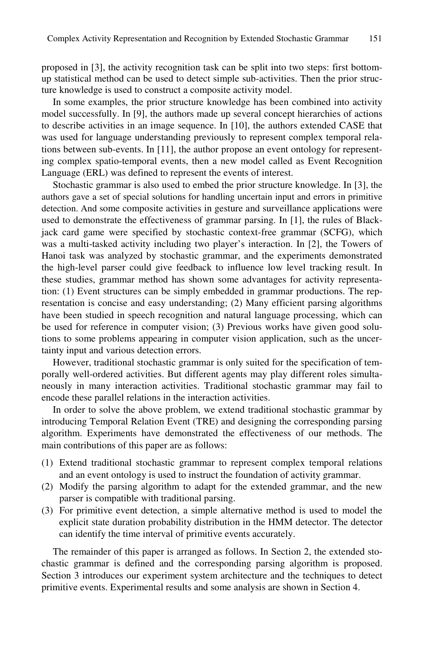proposed in [3], the activity recognition task can be split into two steps: first bottomup statistical method can be used to detect simple sub-activities. Then the prior structure knowledge is used to construct a composite activity model.

In some examples, the prior structure knowledge has been combined into activity model successfully. In [9], the authors made up several concept hierarchies of actions to describe activities in an image sequence. In [10], the authors extended CASE that was used for language understanding previously to represent complex temporal relations between sub-events. In [11], the author propose an event ontology for representing complex spatio-temporal events, then a new model called as Event Recognition Language (ERL) was defined to represent the events of interest.

Stochastic grammar is also used to embed the prior structure knowledge. In [3], the authors gave a set of special solutions for handling uncertain input and errors in primitive detection. And some composite activities in gesture and surveillance applications were used to demonstrate the effectiveness of grammar parsing. In [1], the rules of Blackjack card game were specified by stochastic context-free grammar (SCFG), which was a multi-tasked activity including two player's interaction. In [2], the Towers of Hanoi task was analyzed by stochastic grammar, and the experiments demonstrated the high-level parser could give feedback to influence low level tracking result. In these studies, grammar method has shown some advantages for activity representation: (1) Event structures can be simply embedded in grammar productions. The representation is concise and easy understanding; (2) Many efficient parsing algorithms have been studied in speech recognition and natural language processing, which can be used for reference in computer vision; (3) Previous works have given good solutions to some problems appearing in computer vision application, such as the uncertainty input and various detection errors.

However, traditional stochastic grammar is only suited for the specification of temporally well-ordered activities. But different agents may play different roles simultaneously in many interaction activities. Traditional stochastic grammar may fail to encode these parallel relations in the interaction activities.

In order to solve the above problem, we extend traditional stochastic grammar by introducing Temporal Relation Event (TRE) and designing the corresponding parsing algorithm. Experiments have demonstrated the effectiveness of our methods. The main contributions of this paper are as follows:

- (1) Extend traditional stochastic grammar to represent complex temporal relations and an event ontology is used to instruct the foundation of activity grammar.
- (2) Modify the parsing algorithm to adapt for the extended grammar, and the new parser is compatible with traditional parsing.
- (3) For primitive event detection, a simple alternative method is used to model the explicit state duration probability distribution in the HMM detector. The detector can identify the time interval of primitive events accurately.

The remainder of this paper is arranged as follows. In Section 2, the extended stochastic grammar is defined and the corresponding parsing algorithm is proposed. Section 3 introduces our experiment system architecture and the techniques to detect primitive events. Experimental results and some analysis are shown in Section 4.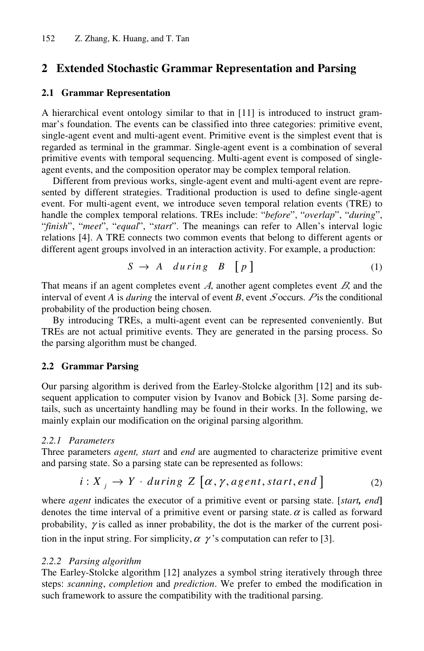## **2 Extended Stochastic Grammar Representation and Parsing**

### **2.1 Grammar Representation**

A hierarchical event ontology similar to that in [11] is introduced to instruct grammar's foundation. The events can be classified into three categories: primitive event, single-agent event and multi-agent event. Primitive event is the simplest event that is regarded as terminal in the grammar. Single-agent event is a combination of several primitive events with temporal sequencing. Multi-agent event is composed of singleagent events, and the composition operator may be complex temporal relation.

Different from previous works, single-agent event and multi-agent event are represented by different strategies. Traditional production is used to define single-agent event. For multi-agent event, we introduce seven temporal relation events (TRE) to handle the complex temporal relations. TREs include: "*before*", "*overlap*", "*during*", "*finish*", "*meet*", "*equal*", "*start*". The meanings can refer to Allen's interval logic relations [4]. A TRE connects two common events that belong to different agents or different agent groups involved in an interaction activity. For example, a production:

$$
S \rightarrow A \quad during \quad B \quad [p] \tag{1}
$$

That means if an agent completes event  $\Lambda$ , another agent completes event  $\Lambda$ , and the interval of event *A* is *during* the interval of event *B*, event *S* occurs. *P* is the conditional probability of the production being chosen.

By introducing TREs, a multi-agent event can be represented conveniently. But TREs are not actual primitive events. They are generated in the parsing process. So the parsing algorithm must be changed.

## **2.2 Grammar Parsing**

Our parsing algorithm is derived from the Earley-Stolcke algorithm [12] and its subsequent application to computer vision by Ivanov and Bobick [3]. Some parsing details, such as uncertainty handling may be found in their works. In the following, we mainly explain our modification on the original parsing algorithm.

## *2.2.1 Parameters*

Three parameters *agent, start* and *end* are augmented to characterize primitive event and parsing state. So a parsing state can be represented as follows:

$$
i: X_j \to Y \cdot during \, Z \, [\alpha, \gamma, agent, start, end] \tag{2}
$$

where *agent* indicates the executor of a primitive event or parsing state. [*start, end***]**  denotes the time interval of a primitive event or parsing state.  $\alpha$  is called as forward probability,  $\gamma$  is called as inner probability, the dot is the marker of the current position in the input string. For simplicity,  $\alpha$   $\gamma$ 's computation can refer to [3].

## *2.2.2 Parsing algorithm*

The Earley-Stolcke algorithm [12] analyzes a symbol string iteratively through three steps: *scanning*, *completion* and *prediction*. We prefer to embed the modification in such framework to assure the compatibility with the traditional parsing.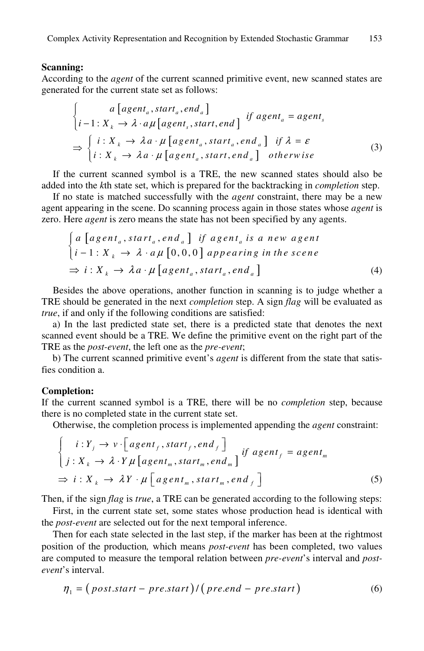#### **Scanning:**

According to the *agent* of the current scanned primitive event, new scanned states are generated for the current state set as follows:

$$
\begin{cases}\na \left[ agent_a, start_a, end_a \right] \\
i-1: X_k \to \lambda \cdot a \mu \left[ agent_s, start, end \right] & if agent_a = agent_s \\
\Rightarrow \begin{cases}\ni: X_k \to \lambda a \cdot \mu \left[ agent_a, start_a, end_a \right] & if \lambda = \varepsilon \\
i: X_k \to \lambda a \cdot \mu \left[ agent_a, start, end_a \right] & otherwise\n\end{cases} \tag{3}
$$

If the current scanned symbol is a TRE, the new scanned states should also be added into the *k*th state set, which is prepared for the backtracking in *completion* step.

If no state is matched successfully with the *agent* constraint, there may be a new agent appearing in the scene. Do scanning process again in those states whose *agent* is zero. Here *agent* is zero means the state has not been specified by any agents.

$$
\begin{cases}\na \left[ agent_a, start_a, end_a \right] & \text{if agent}_a \text{ is a new agent} \\
i - 1: X_k \to \lambda \cdot a \mu \left[ 0, 0, 0 \right] \text{ appearing in the scene} \\
\Rightarrow i: X_k \to \lambda a \cdot \mu \left[ agent_a, start_a, end_a \right]\n\end{cases} \tag{4}
$$

Besides the above operations, another function in scanning is to judge whether a TRE should be generated in the next *completion* step. A sign *flag* will be evaluated as *true*, if and only if the following conditions are satisfied:

a) In the last predicted state set, there is a predicted state that denotes the next scanned event should be a TRE. We define the primitive event on the right part of the TRE as the *post-event*, the left one as the *pre-event*;

b) The current scanned primitive event's *agent* is different from the state that satisfies condition a.

#### **Completion:**

If the current scanned symbol is a TRE, there will be no *completion* step, because there is no completed state in the current state set.

Otherwise, the completion process is implemented appending the *agent* constraint:

$$
\begin{cases}\ni: Y_j \to v \cdot \left[ agent_f, start_f, end_f \right] \\
j: X_k \to \lambda \cdot Y \mu \left[ agent_m, start_m, end_m \right] \quad \text{if agent}_f = agent_m \\
\Rightarrow i: X_k \to \lambda Y \cdot \mu \left[ agent_m, start_m, end_f \right] \tag{5}\n\end{cases}
$$

Then, if the sign *flag* is *true*, a TRE can be generated according to the following steps:

First, in the current state set, some states whose production head is identical with the *post-event* are selected out for the next temporal inference.

Then for each state selected in the last step, if the marker has been at the rightmost position of the production*,* which means *post-event* has been completed, two values are computed to measure the temporal relation between *pre-event*'s interval and *postevent*'s interval.

$$
\eta_1 = (post.start - pre.start) / (pre.end - pre.start)
$$
\n(6)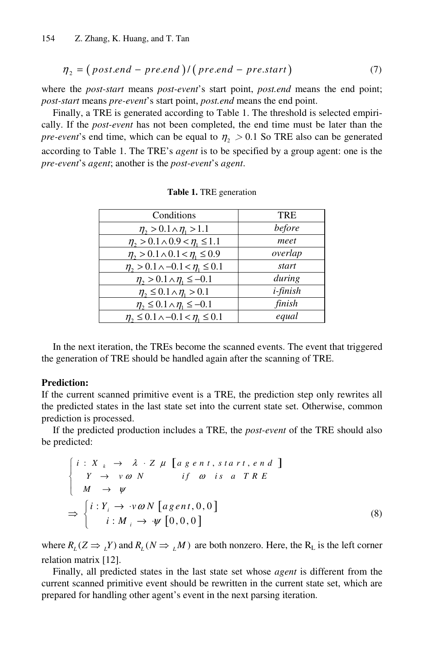$$
\eta_2 = (post.end - pre.end) / (pre.end - pre.start)
$$
\n(7)

where the *post-start* means *post-event*'s start point, *post.end* means the end point; *post-start* means *pre-event*'s start point, *post.end* means the end point.

Finally, a TRE is generated according to Table 1. The threshold is selected empirically. If the *post-event* has not been completed, the end time must be later than the *pre-event*'s end time, which can be equal to  $\eta_2 > 0.1$  So TRE also can be generated according to Table 1. The TRE's *agent* is to be specified by a group agent: one is the *pre-event*'s *agent*; another is the *post-event*'s *agent*.

| Conditions                                          | <b>TRE</b>      |
|-----------------------------------------------------|-----------------|
| $\eta_2 > 0.1 \wedge \eta_1 > 1.1$                  | before          |
| $\eta_{2} > 0.1 \wedge 0.9 < \eta_{1} \leq 1.1$     | meet            |
| $\eta_{2} > 0.1 \wedge 0.1 < \eta_{1} \leq 0.9$     | overlap         |
| $\eta_2 > 0.1 \wedge -0.1 < \eta_1 \leq 0.1$        | start           |
| $\eta_{2} > 0.1 \wedge \eta_{1} \leq -0.1$          | during          |
| $\eta_2 \leq 0.1 \wedge \eta_1 > 0.1$               | <i>i-finish</i> |
| $\eta_2 \leq 0.1 \wedge \eta_1 \leq -0.1$           | finish          |
| $\eta_{2} \leq 0.1 \wedge -0.1 < \eta_{1} \leq 0.1$ | equal           |

**Table 1.** TRE generation

In the next iteration, the TREs become the scanned events. The event that triggered the generation of TRE should be handled again after the scanning of TRE.

#### **Prediction:**

If the current scanned primitive event is a TRE, the prediction step only rewrites all the predicted states in the last state set into the current state set. Otherwise, common prediction is processed.

If the predicted production includes a TRE, the *post-event* of the TRE should also be predicted:

$$
\begin{cases}\ni: X \longrightarrow \lambda \cdot Z \mu \text{ [}a \text{ } g \text{ } e \text{ } n \text{ } t, \text{ } s \text{ } t \text{ } a \text{ } n \text{ } t \text{ } e \text{ } n \text{ } d \text{ } \text{]} \\
Y \rightarrow \text{ } v \text{ } \omega \text{ } N \qquad \text{if} \quad \omega \text{ } is \text{ } a \text{ } TR \text{ } E \\
M \rightarrow \psi \\
i: Y_i \rightarrow \text{ } v \omega \text{ } N \text{ [}agent, 0, 0 \text{]} \\
i: M \rightarrow \psi \text{ [}0, 0, 0 \text{]} \n\end{cases} \tag{8}
$$

where  $R_L (Z \Rightarrow Y)$  and  $R_L (N \Rightarrow M)$  are both nonzero. Here, the R<sub>L</sub> is the left corner relation matrix [12].

Finally, all predicted states in the last state set whose *agent* is different from the current scanned primitive event should be rewritten in the current state set, which are prepared for handling other agent's event in the next parsing iteration.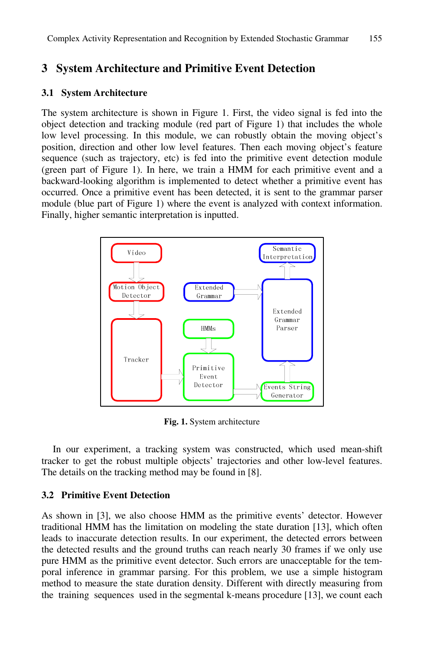## **3 System Architecture and Primitive Event Detection**

### **3.1 System Architecture**

The system architecture is shown in Figure 1. First, the video signal is fed into the object detection and tracking module (red part of Figure 1) that includes the whole low level processing. In this module, we can robustly obtain the moving object's position, direction and other low level features. Then each moving object's feature sequence (such as trajectory, etc) is fed into the primitive event detection module (green part of Figure 1). In here, we train a HMM for each primitive event and a backward-looking algorithm is implemented to detect whether a primitive event has occurred. Once a primitive event has been detected, it is sent to the grammar parser module (blue part of Figure 1) where the event is analyzed with context information. Finally, higher semantic interpretation is inputted.



**Fig. 1.** System architecture

In our experiment, a tracking system was constructed, which used mean-shift tracker to get the robust multiple objects' trajectories and other low-level features. The details on the tracking method may be found in [8].

## **3.2 Primitive Event Detection**

As shown in [3], we also choose HMM as the primitive events' detector. However traditional HMM has the limitation on modeling the state duration [13], which often leads to inaccurate detection results. In our experiment, the detected errors between the detected results and the ground truths can reach nearly 30 frames if we only use pure HMM as the primitive event detector. Such errors are unacceptable for the temporal inference in grammar parsing. For this problem, we use a simple histogram method to measure the state duration density. Different with directly measuring from the training sequences used in the segmental k-means procedure [13], we count each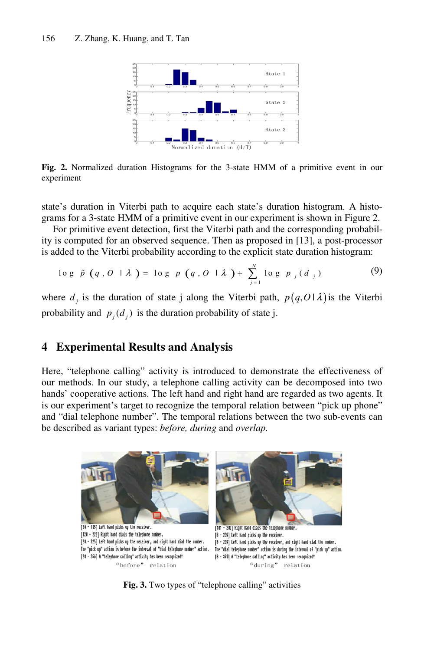

**Fig. 2.** Normalized duration Histograms for the 3-state HMM of a primitive event in our experiment

state's duration in Viterbi path to acquire each state's duration histogram. A histograms for a 3-state HMM of a primitive event in our experiment is shown in Figure 2.

For primitive event detection, first the Viterbi path and the corresponding probability is computed for an observed sequence. Then as proposed in [13], a post-processor is added to the Viterbi probability according to the explicit state duration histogram:

$$
\log \ \tilde{p} \ (q \ , O \ | \ \lambda \ ) = \log \ p \ (q \ , O \ | \ \lambda \ ) + \sum_{j=1}^{N} \log \ p_{j} \ (d_{j}) \tag{9}
$$

where  $d_i$  is the duration of state j along the Viterbi path,  $p(q,0|\lambda)$  is the Viterbi probability and  $p_i(d_i)$  is the duration probability of state j.

## **4 Experimental Results and Analysis**

Here, "telephone calling" activity is introduced to demonstrate the effectiveness of our methods. In our study, a telephone calling activity can be decomposed into two hands' cooperative actions. The left hand and right hand are regarded as two agents. It is our experiment's target to recognize the temporal relation between "pick up phone" and "dial telephone number". The temporal relations between the two sub-events can be described as variant types: *before, during* and *overlap.* 



**Fig. 3.** Two types of "telephone calling" activities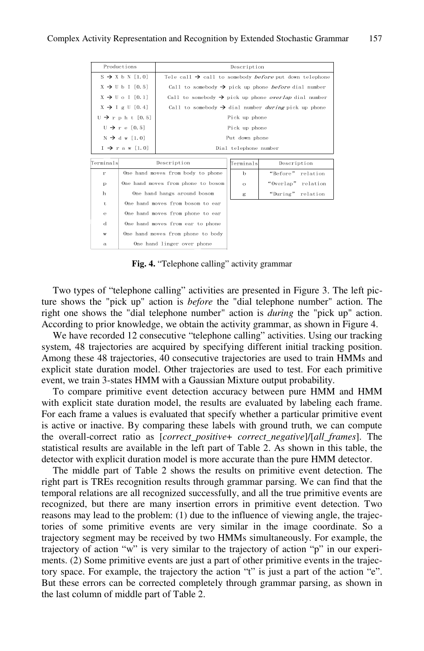| Productions                      | Description                                                               |  |  |
|----------------------------------|---------------------------------------------------------------------------|--|--|
| $S \rightarrow X b N$ [1.0]      | Tele call $\rightarrow$ call to somebody <i>before</i> put down telephone |  |  |
| $X \rightarrow$ II b I [0.5]     | Call to somebody $\rightarrow$ pick up phone <i>before</i> dial number    |  |  |
| $X \rightarrow U$ o I [0.1]      | Call to somebody $\rightarrow$ pick up phone <i>overlap</i> dial number   |  |  |
| $X \rightarrow I \times U$ [0.4] | Call to somebody $\rightarrow$ dial number <i>during</i> pick up phone    |  |  |
| $U \rightarrow r p h t [0.5]$    | Pick up phone                                                             |  |  |
| $II \rightarrow r e [0.5]$       | Pick up phone                                                             |  |  |
| $N \rightarrow d$ w [1.0]        | Put down phone                                                            |  |  |
| $1 \rightarrow r$ aw [1.0]       | Dial telephone number                                                     |  |  |

| Terminals         | Description                        | Terminals | Description        |
|-------------------|------------------------------------|-----------|--------------------|
| r                 | One hand moves from body to phone  | b         | "Before" relation  |
| $\mathbf{p}$      | One hand moves from phone to bosom | $\circ$   | "Overlap" relation |
| $\mathbf h$       | One hand hangs around bosom        | g         | "During" relation  |
| t                 | One hand moves from bosom to ear   |           |                    |
| $\ddot{\text{e}}$ | One hand moves from phone to ear   |           |                    |
| d                 | One hand moves from ear to phone   |           |                    |
| $\mathbf{W}$      | One hand moves from phone to body  |           |                    |
| a                 | One hand linger over phone         |           |                    |

**Fig. 4.** "Telephone calling" activity grammar

Two types of "telephone calling" activities are presented in Figure 3. The left picture shows the "pick up" action is *before* the "dial telephone number" action. The right one shows the "dial telephone number" action is *during* the "pick up" action. According to prior knowledge, we obtain the activity grammar, as shown in Figure 4.

We have recorded 12 consecutive "telephone calling" activities. Using our tracking system, 48 trajectories are acquired by specifying different initial tracking position. Among these 48 trajectories, 40 consecutive trajectories are used to train HMMs and explicit state duration model. Other trajectories are used to test. For each primitive event, we train 3-states HMM with a Gaussian Mixture output probability.

To compare primitive event detection accuracy between pure HMM and HMM with explicit state duration model, the results are evaluated by labeling each frame. For each frame a values is evaluated that specify whether a particular primitive event is active or inactive. By comparing these labels with ground truth, we can compute the overall-correct ratio as [*correct\_positive*+ *correct\_negative*]/[*all\_frames*]. The statistical results are available in the left part of Table 2. As shown in this table, the detector with explicit duration model is more accurate than the pure HMM detector.

The middle part of Table 2 shows the results on primitive event detection. The right part is TREs recognition results through grammar parsing. We can find that the temporal relations are all recognized successfully, and all the true primitive events are recognized, but there are many insertion errors in primitive event detection. Two reasons may lead to the problem: (1) due to the influence of viewing angle, the trajectories of some primitive events are very similar in the image coordinate. So a trajectory segment may be received by two HMMs simultaneously. For example, the trajectory of action "w" is very similar to the trajectory of action "p" in our experiments. (2) Some primitive events are just a part of other primitive events in the trajectory space. For example, the trajectory the action "t" is just a part of the action "e". But these errors can be corrected completely through grammar parsing, as shown in the last column of middle part of Table 2.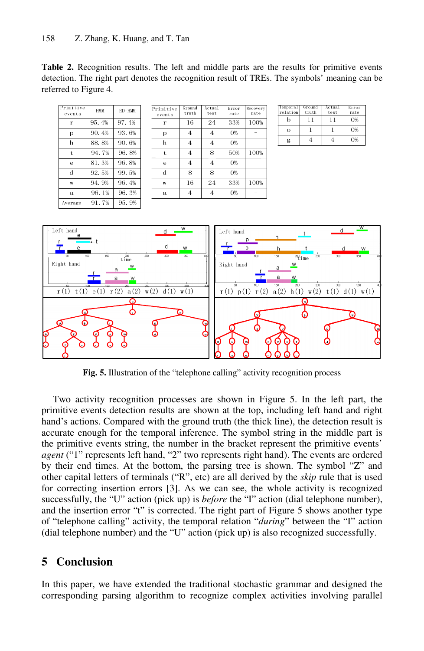**Table 2.** Recognition results. The left and middle parts are the results for primitive events detection. The right part denotes the recognition result of TREs. The symbols' meaning can be referred to Figure 4.

| Primitive<br>events | <b>HMM</b> | <b>ED-HMM</b> |
|---------------------|------------|---------------|
| r                   | 95.4%      | 97.4%         |
| p                   | 90.4%      | 93.6%         |
| h                   | 88.8%      | 90.6%         |
| Ť.                  | 94.7%      | 96.8%         |
| e                   | 81.3%      | 96.8%         |
| d                   | 92.5%      | 99.5%         |
| W                   | 94.9%      | 96.4%         |
| a.                  | 96.1%      | 96.3%         |
| Average             | 91 7%      | 95.9%         |

| Primitive<br>events | Ground<br>truth | Actual<br>test | Error<br>rate | Recovery<br>rate |
|---------------------|-----------------|----------------|---------------|------------------|
| r                   | 16              | 24             | 33%           | 100%             |
| p                   | 4               | 4              | 0%            |                  |
| h                   | 4               | $\overline{4}$ | 0%            |                  |
| t                   | 4               | 8              | 50%           | 100%             |
| e                   | 4               | 4              | 0%            |                  |
| d                   | 8               | 8              | 0%            |                  |
| W                   | 16              | 24             | 33%           | 100%             |
| a                   | 4               | 4              | O%            |                  |

| Temporal<br>relation | Ground<br>truth | Actual<br>test | Error<br>rate |
|----------------------|-----------------|----------------|---------------|
| h                    |                 |                | 0%            |
| Ω                    |                 |                | 0%            |
| g                    |                 |                | nж            |



**Fig. 5.** Illustration of the "telephone calling" activity recognition process

Two activity recognition processes are shown in Figure 5. In the left part, the primitive events detection results are shown at the top, including left hand and right hand's actions. Compared with the ground truth (the thick line), the detection result is accurate enough for the temporal inference. The symbol string in the middle part is the primitive events string, the number in the bracket represent the primitive events' *agent* ("1" represents left hand, "2" two represents right hand). The events are ordered by their end times. At the bottom, the parsing tree is shown. The symbol "Z" and other capital letters of terminals ("R", etc) are all derived by the *skip* rule that is used for correcting insertion errors [3]. As we can see, the whole activity is recognized successfully, the "U" action (pick up) is *before* the "I" action (dial telephone number), and the insertion error "t" is corrected. The right part of Figure 5 shows another type of "telephone calling" activity, the temporal relation "*during*" between the "I" action (dial telephone number) and the "U" action (pick up) is also recognized successfully.

## **5 Conclusion**

In this paper, we have extended the traditional stochastic grammar and designed the corresponding parsing algorithm to recognize complex activities involving parallel